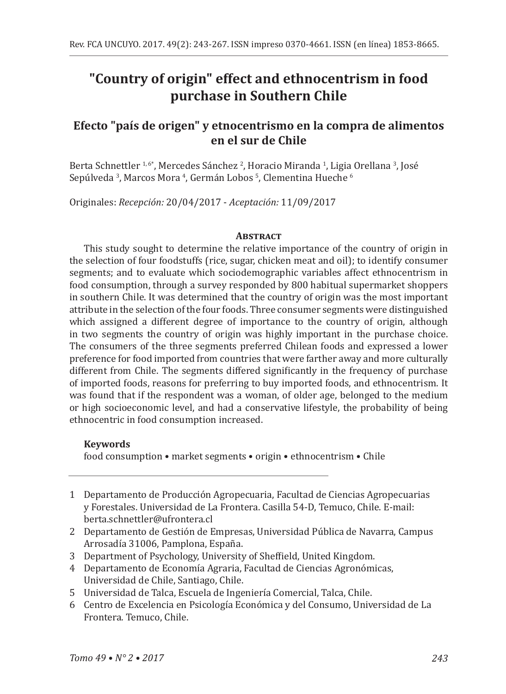# **"Country of origin" effect and ethnocentrism in food purchase in Southern Chile**

# **Efecto "país de origen" y etnocentrismo en la compra de alimentos en el sur de Chile**

Berta Schnettler <sup>1,6</sup>°, Mercedes Sánchez <sup>2</sup>, Horacio Miranda <sup>1</sup>, Ligia Orellana <sup>3</sup>, José Sepúlveda <sup>3</sup>, Marcos Mora <sup>4</sup>, Germán Lobos <sup>5</sup>, Clementina Hueche <sup>6</sup>

Originales: *Recepción:* 20/04/2017 - *Aceptación:* 11/09/2017

#### **Abstract**

This study sought to determine the relative importance of the country of origin in the selection of four foodstuffs (rice, sugar, chicken meat and oil); to identify consumer segments; and to evaluate which sociodemographic variables affect ethnocentrism in food consumption, through a survey responded by 800 habitual supermarket shoppers in southern Chile. It was determined that the country of origin was the most important attribute in the selection of the four foods. Three consumer segments were distinguished which assigned a different degree of importance to the country of origin, although in two segments the country of origin was highly important in the purchase choice. The consumers of the three segments preferred Chilean foods and expressed a lower preference for food imported from countries that were farther away and more culturally different from Chile. The segments differed significantly in the frequency of purchase of imported foods, reasons for preferring to buy imported foods, and ethnocentrism. It was found that if the respondent was a woman, of older age, belonged to the medium or high socioeconomic level, and had a conservative lifestyle, the probability of being ethnocentric in food consumption increased.

### **Keywords**

food consumption • market segments • origin • ethnocentrism • Chile

- 1 Departamento de Producción Agropecuaria, Facultad de Ciencias Agropecuarias y Forestales. Universidad de La Frontera. Casilla 54-D, Temuco, Chile. E-mail: berta.schnettler@ufrontera.cl
- 2 Departamento de Gestión de Empresas, Universidad Pública de Navarra, Campus Arrosadía 31006, Pamplona, España.
- 3 Department of Psychology, University of Sheffield, United Kingdom.
- 4 Departamento de Economía Agraria, Facultad de Ciencias Agronómicas, Universidad de Chile, Santiago, Chile.
- 5 Universidad de Talca, Escuela de Ingeniería Comercial, Talca, Chile.
- 6 Centro de Excelencia en Psicología Económica y del Consumo, Universidad de La Frontera. Temuco, Chile.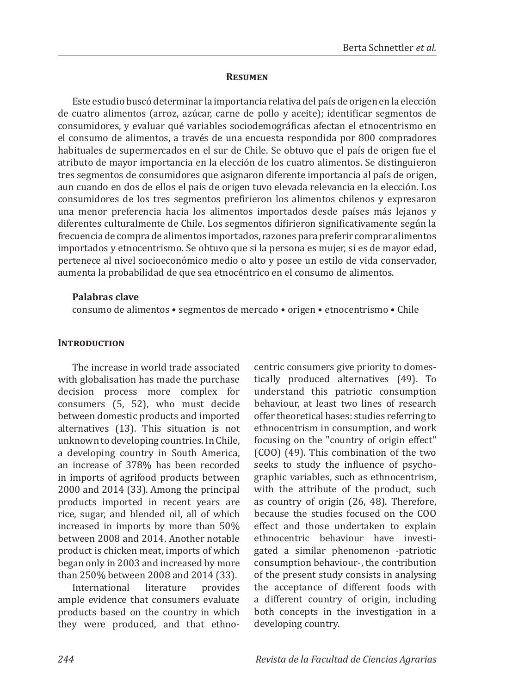#### **Resumen**

Este estudio buscó determinar la importancia relativa del país de origen en la elección de cuatro alimentos (arroz, azúcar, carne de pollo y aceite); identificar segmentos de consumidores, y evaluar qué variables sociodemográficas afectan el etnocentrismo en el consumo de alimentos, a través de una encuesta respondida por 800 compradores habituales de supermercados en el sur de Chile. Se obtuvo que el país de origen fue el atributo de mayor importancia en la elección de los cuatro alimentos. Se distinguieron tres segmentos de consumidores que asignaron diferente importancia al país de origen, aun cuando en dos de ellos el país de origen tuvo elevada relevancia en la elección. Los consumidores de los tres segmentos prefirieron los alimentos chilenos y expresaron una menor preferencia hacia los alimentos importados desde países más lejanos y diferentes culturalmente de Chile. Los segmentos difirieron significativamente según la frecuencia de compra de alimentos importados, razones para preferir comprar alimentos importados y etnocentrismo. Se obtuvo que si la persona es mujer, si es de mayor edad, pertenece al nivel socioeconómico medio o alto y posee un estilo de vida conservador, aumenta la probabilidad de que sea etnocéntrico en el consumo de alimentos.

#### **Palabras clave**

consumo de alimentos • segmentos de mercado • origen • etnocentrismo • Chile

#### **INTRODUCTION**

The increase in world trade associated with globalisation has made the purchase decision process more complex for consumers (5, 52), who must decide between domestic products and imported alternatives (13). This situation is not unknown to developing countries. In Chile, a developing country in South America, an increase of 378% has been recorded in imports of agrifood products between 2000 and 2014 (33). Among the principal products imported in recent years are rice, sugar, and blended oil, all of which increased in imports by more than 50% between 2008 and 2014. Another notable product is chicken meat, imports of which began only in 2003 and increased by more than 250% between 2008 and 2014 (33).

**International** ample evidence that consumers evaluate products based on the country in which they were produced, and that ethnocentric consumers give priority to domestically produced alternatives (49). To understand this patriotic consumption behaviour, at least two lines of research offer theoretical bases: studies referring to ethnocentrism in consumption, and work focusing on the "country of origin effect" (COO) (49). This combination of the two seeks to study the influence of psychographic variables, such as ethnocentrism, with the attribute of the product, such as country of origin (26, 48). Therefore, because the studies focused on the COO effect and those undertaken to explain ethnocentric behaviour have investigated a similar phenomenon -patriotic consumption behaviour-, the contribution of the present study consists in analysing the acceptance of different foods with a different country of origin, including both concepts in the investigation in a developing country.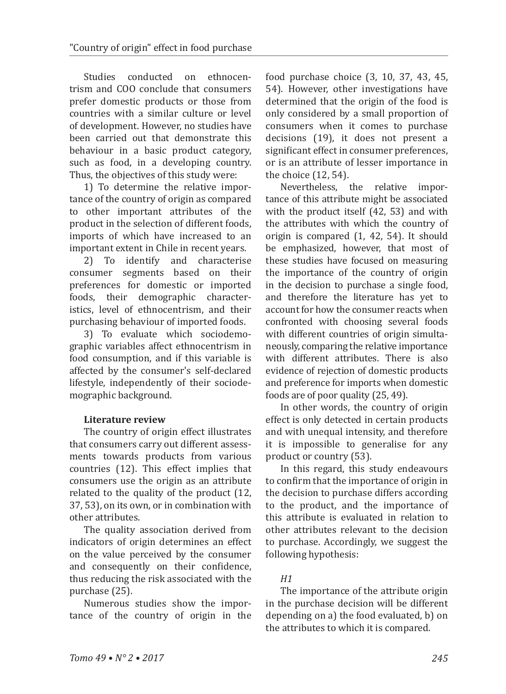Studies conducted on ethnocentrism and COO conclude that consumers prefer domestic products or those from countries with a similar culture or level of development. However, no studies have been carried out that demonstrate this behaviour in a basic product category, such as food, in a developing country. Thus, the objectives of this study were:

1) To determine the relative importance of the country of origin as compared to other important attributes of the product in the selection of different foods, imports of which have increased to an important extent in Chile in recent years.<br>2) To identify and characterise

identify and characterise consumer segments based on their preferences for domestic or imported foods, their demographic characteristics, level of ethnocentrism, and their purchasing behaviour of imported foods.

3) To evaluate which sociodemographic variables affect ethnocentrism in food consumption, and if this variable is affected by the consumer's self-declared lifestyle, independently of their sociodemographic background.

### **Literature review**

The country of origin effect illustrates that consumers carry out different assessments towards products from various countries (12). This effect implies that consumers use the origin as an attribute related to the quality of the product (12, 37, 53), on its own, or in combination with other attributes.

The quality association derived from indicators of origin determines an effect on the value perceived by the consumer and consequently on their confidence, thus reducing the risk associated with the purchase (25).

Numerous studies show the importance of the country of origin in the

food purchase choice (3, 10, 37, 43, 45, 54). However, other investigations have determined that the origin of the food is only considered by a small proportion of consumers when it comes to purchase decisions (19), it does not present a significant effect in consumer preferences, or is an attribute of lesser importance in the choice (12, 54).<br>Nevertheless. the relative

Nevertheless, the relative importance of this attribute might be associated with the product itself (42, 53) and with the attributes with which the country of origin is compared (1, 42, 54). It should be emphasized, however, that most of these studies have focused on measuring the importance of the country of origin in the decision to purchase a single food, and therefore the literature has yet to account for how the consumer reacts when confronted with choosing several foods with different countries of origin simultaneously, comparing the relative importance with different attributes. There is also evidence of rejection of domestic products and preference for imports when domestic foods are of poor quality (25, 49).

In other words, the country of origin effect is only detected in certain products and with unequal intensity, and therefore it is impossible to generalise for any product or country (53).

In this regard, this study endeavours to confirm that the importance of origin in the decision to purchase differs according to the product, and the importance of this attribute is evaluated in relation to other attributes relevant to the decision to purchase. Accordingly, we suggest the following hypothesis:

# *H1*

The importance of the attribute origin in the purchase decision will be different depending on a) the food evaluated, b) on the attributes to which it is compared.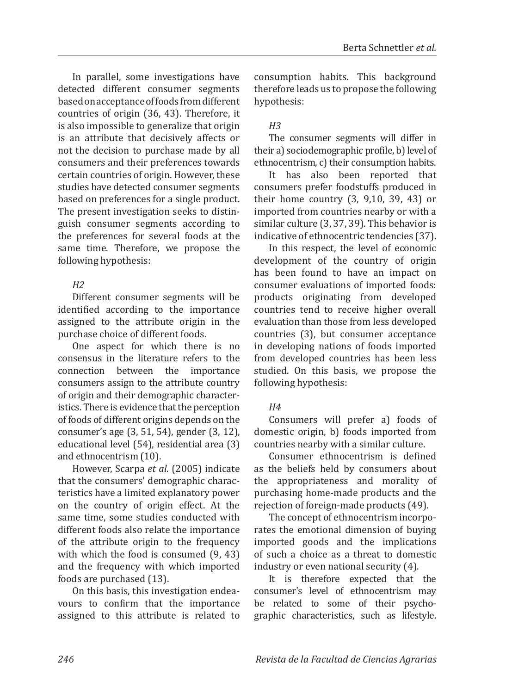In parallel, some investigations have detected different consumer segments based on acceptance of foods from different countries of origin (36, 43). Therefore, it is also impossible to generalize that origin is an attribute that decisively affects or not the decision to purchase made by all consumers and their preferences towards certain countries of origin. However, these studies have detected consumer segments based on preferences for a single product. The present investigation seeks to distinguish consumer segments according to the preferences for several foods at the same time. Therefore, we propose the following hypothesis:

# *H2*

Different consumer segments will be identified according to the importance assigned to the attribute origin in the purchase choice of different foods.

One aspect for which there is no consensus in the literature refers to the connection between the importance consumers assign to the attribute country of origin and their demographic characteristics. There is evidence that the perception of foods of different origins depends on the consumer's age (3, 51, 54), gender (3, 12), educational level (54), residential area (3) and ethnocentrism (10).

However, Scarpa *et al.* (2005) indicate that the consumers' demographic characteristics have a limited explanatory power on the country of origin effect. At the same time, some studies conducted with different foods also relate the importance of the attribute origin to the frequency with which the food is consumed (9, 43) and the frequency with which imported foods are purchased (13).

On this basis, this investigation endeavours to confirm that the importance assigned to this attribute is related to consumption habits. This background therefore leads us to propose the following hypothesis:

# *H3*

The consumer segments will differ in their a) sociodemographic profile, b) level of ethnocentrism, c) their consumption habits.

It has also been reported that consumers prefer foodstuffs produced in their home country (3, 9,10, 39, 43) or imported from countries nearby or with a similar culture (3, 37, 39). This behavior is indicative of ethnocentric tendencies (37).

In this respect, the level of economic development of the country of origin has been found to have an impact on consumer evaluations of imported foods: products originating from developed countries tend to receive higher overall evaluation than those from less developed countries (3), but consumer acceptance in developing nations of foods imported from developed countries has been less studied. On this basis, we propose the following hypothesis:

# *H4*

Consumers will prefer a) foods of domestic origin, b) foods imported from countries nearby with a similar culture.

Consumer ethnocentrism is defined as the beliefs held by consumers about the appropriateness and morality of purchasing home-made products and the rejection of foreign-made products (49).

The concept of ethnocentrism incorporates the emotional dimension of buying imported goods and the implications of such a choice as a threat to domestic industry or even national security (4).

It is therefore expected that the consumer's level of ethnocentrism may be related to some of their psychographic characteristics, such as lifestyle.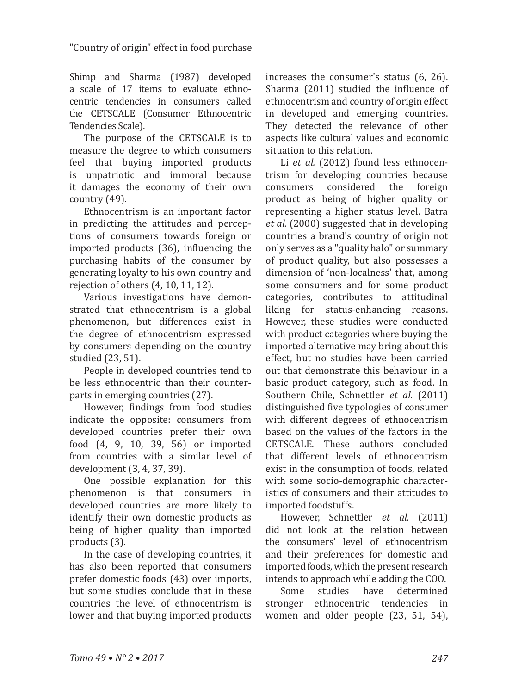Shimp and Sharma (1987) developed a scale of 17 items to evaluate ethnocentric tendencies in consumers called the CETSCALE (Consumer Ethnocentric Tendencies Scale).

The purpose of the CETSCALE is to measure the degree to which consumers feel that buying imported products is unpatriotic and immoral because it damages the economy of their own country (49).

Ethnocentrism is an important factor in predicting the attitudes and perceptions of consumers towards foreign or imported products (36), influencing the purchasing habits of the consumer by generating loyalty to his own country and rejection of others (4, 10, 11, 12).

Various investigations have demonstrated that ethnocentrism is a global phenomenon, but differences exist in the degree of ethnocentrism expressed by consumers depending on the country studied (23, 51).

People in developed countries tend to be less ethnocentric than their counterparts in emerging countries (27).

However, findings from food studies indicate the opposite: consumers from developed countries prefer their own food (4, 9, 10, 39, 56) or imported from countries with a similar level of development (3, 4, 37, 39).

One possible explanation for this phenomenon is that consumers in developed countries are more likely to identify their own domestic products as being of higher quality than imported products (3).

In the case of developing countries, it has also been reported that consumers prefer domestic foods (43) over imports, but some studies conclude that in these countries the level of ethnocentrism is lower and that buying imported products

increases the consumer's status (6, 26). Sharma (2011) studied the influence of ethnocentrism and country of origin effect in developed and emerging countries. They detected the relevance of other aspects like cultural values and economic situation to this relation.

Li *et al.* (2012) found less ethnocentrism for developing countries because<br>consumers considered the foreign consumers considered the foreign product as being of higher quality or representing a higher status level. Batra *et al.* (2000) suggested that in developing countries a brand's country of origin not only serves as a "quality halo" or summary of product quality, but also possesses a dimension of 'non-localness' that, among some consumers and for some product categories, contributes to attitudinal liking for status-enhancing reasons. However, these studies were conducted with product categories where buying the imported alternative may bring about this effect, but no studies have been carried out that demonstrate this behaviour in a basic product category, such as food. In Southern Chile, Schnettler *et al.* (2011) distinguished five typologies of consumer with different degrees of ethnocentrism based on the values of the factors in the CETSCALE. These authors concluded that different levels of ethnocentrism exist in the consumption of foods, related with some socio-demographic characteristics of consumers and their attitudes to imported foodstuffs.

However, Schnettler *et al.* (2011) did not look at the relation between the consumers' level of ethnocentrism and their preferences for domestic and imported foods, which the present research intends to approach while adding the COO.

Some studies have determined<br>stronger ethnocentric tendencies in ethnocentric tendencies in women and older people (23, 51, 54),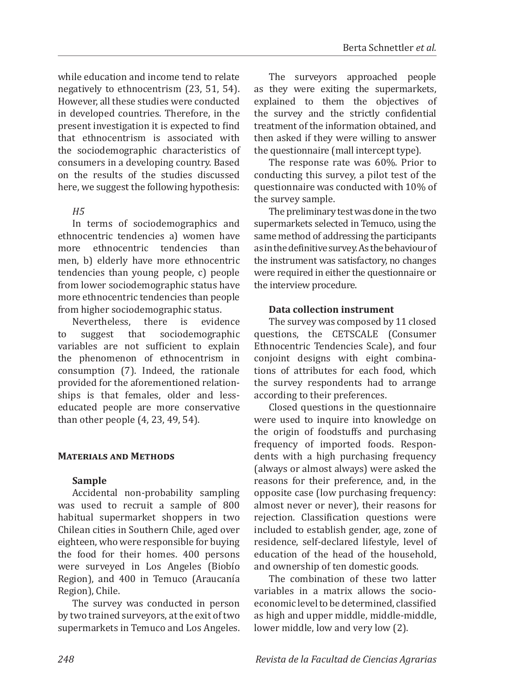while education and income tend to relate negatively to ethnocentrism (23, 51, 54). However, all these studies were conducted in developed countries. Therefore, in the present investigation it is expected to find that ethnocentrism is associated with the sociodemographic characteristics of consumers in a developing country. Based on the results of the studies discussed here, we suggest the following hypothesis:

### *H5*

In terms of sociodemographics and ethnocentric tendencies a) women have<br>more ethnocentric tendencies than more ethnocentric tendencies men, b) elderly have more ethnocentric tendencies than young people, c) people from lower sociodemographic status have more ethnocentric tendencies than people from higher sociodemographic status.<br>Nevertheless. there is evidence

Nevertheless, the<br>suggest that to suggest that sociodemographic variables are not sufficient to explain the phenomenon of ethnocentrism in consumption (7). Indeed, the rationale provided for the aforementioned relationships is that females, older and lesseducated people are more conservative than other people (4, 23, 49, 54).

### **Materials and Methods**

# **Sample**

Accidental non-probability sampling was used to recruit a sample of 800 habitual supermarket shoppers in two Chilean cities in Southern Chile, aged over eighteen, who were responsible for buying the food for their homes. 400 persons were surveyed in Los Angeles (Biobío Region), and 400 in Temuco (Araucanía Region), Chile.

The survey was conducted in person by two trained surveyors, at the exit of two supermarkets in Temuco and Los Angeles.

The surveyors approached people as they were exiting the supermarkets, explained to them the objectives of the survey and the strictly confidential treatment of the information obtained, and then asked if they were willing to answer the questionnaire (mall intercept type).

The response rate was 60%. Prior to conducting this survey, a pilot test of the questionnaire was conducted with 10% of the survey sample.

The preliminary test was done in the two supermarkets selected in Temuco, using the same method of addressing the participants as in the definitive survey. As the behaviour of the instrument was satisfactory, no changes were required in either the questionnaire or the interview procedure.

## **Data collection instrument**

The survey was composed by 11 closed questions, the CETSCALE (Consumer Ethnocentric Tendencies Scale), and four conjoint designs with eight combinations of attributes for each food, which the survey respondents had to arrange according to their preferences.

Closed questions in the questionnaire were used to inquire into knowledge on the origin of foodstuffs and purchasing frequency of imported foods. Respondents with a high purchasing frequency (always or almost always) were asked the reasons for their preference, and, in the opposite case (low purchasing frequency: almost never or never), their reasons for rejection. Classification questions were included to establish gender, age, zone of residence, self-declared lifestyle, level of education of the head of the household, and ownership of ten domestic goods.

The combination of these two latter variables in a matrix allows the socioeconomic level to be determined, classified as high and upper middle, middle-middle, lower middle, low and very low (2).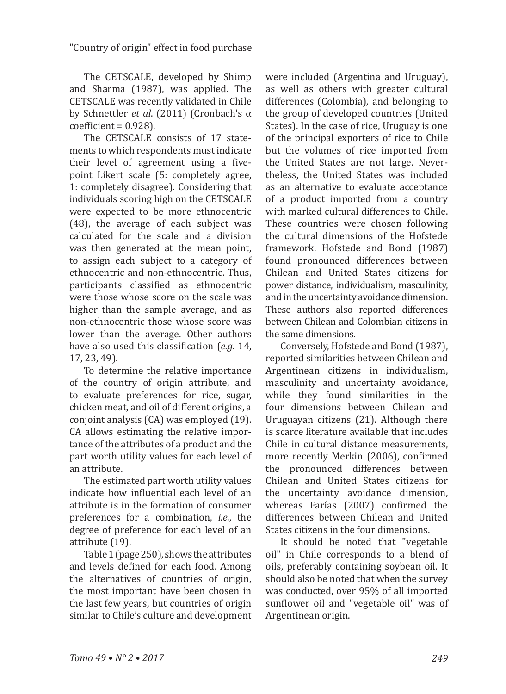The CETSCALE, developed by Shimp and Sharma (1987), was applied. The CETSCALE was recently validated in Chile by Schnettler *et al*. (2011) (Cronbach's α  $coefficient = 0.928$ ).

The CETSCALE consists of 17 statements to which respondents must indicate their level of agreement using a fivepoint Likert scale (5: completely agree, 1: completely disagree). Considering that individuals scoring high on the CETSCALE were expected to be more ethnocentric (48), the average of each subject was calculated for the scale and a division was then generated at the mean point, to assign each subject to a category of ethnocentric and non-ethnocentric. Thus, participants classified as ethnocentric were those whose score on the scale was higher than the sample average, and as non-ethnocentric those whose score was lower than the average. Other authors have also used this classification (*e.g.* 14, 17, 23, 49).

To determine the relative importance of the country of origin attribute, and to evaluate preferences for rice, sugar, chicken meat, and oil of different origins, a conjoint analysis (CA) was employed (19). CA allows estimating the relative importance of the attributes of a product and the part worth utility values for each level of an attribute.

The estimated part worth utility values indicate how influential each level of an attribute is in the formation of consumer preferences for a combination, *i.e.*, the degree of preference for each level of an attribute (19).

Table 1 (page 250), shows the attributes and levels defined for each food. Among the alternatives of countries of origin, the most important have been chosen in the last few years, but countries of origin similar to Chile's culture and development

were included (Argentina and Uruguay), as well as others with greater cultural differences (Colombia), and belonging to the group of developed countries (United States). In the case of rice, Uruguay is one of the principal exporters of rice to Chile but the volumes of rice imported from the United States are not large. Nevertheless, the United States was included as an alternative to evaluate acceptance of a product imported from a country with marked cultural differences to Chile. These countries were chosen following the cultural dimensions of the Hofstede framework. Hofstede and Bond (1987) found pronounced differences between Chilean and United States citizens for power distance, individualism, masculinity, and in the uncertainty avoidance dimension. These authors also reported differences between Chilean and Colombian citizens in the same dimensions.

Conversely, Hofstede and Bond (1987), reported similarities between Chilean and Argentinean citizens in individualism, masculinity and uncertainty avoidance, while they found similarities in the four dimensions between Chilean and Uruguayan citizens (21). Although there is scarce literature available that includes Chile in cultural distance measurements, more recently Merkin (2006), confirmed the pronounced differences between Chilean and United States citizens for the uncertainty avoidance dimension, whereas Farías (2007) confirmed the differences between Chilean and United States citizens in the four dimensions.

It should be noted that "vegetable oil" in Chile corresponds to a blend of oils, preferably containing soybean oil. It should also be noted that when the survey was conducted, over 95% of all imported sunflower oil and "vegetable oil" was of Argentinean origin.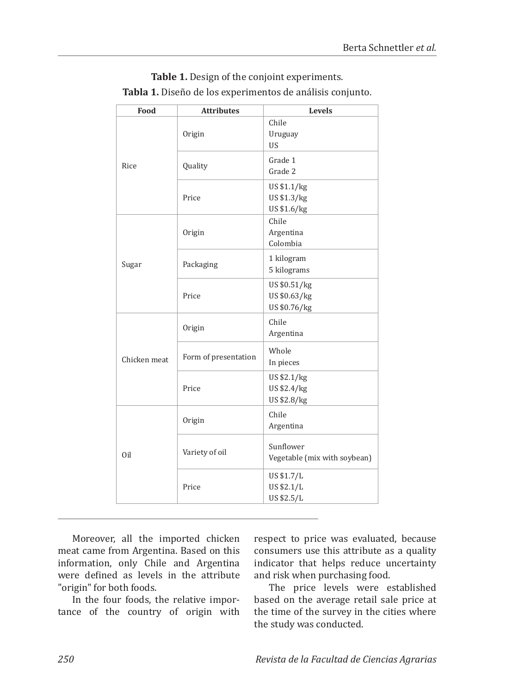| Food         | <b>Attributes</b>    | Levels                                       |
|--------------|----------------------|----------------------------------------------|
|              | Origin               | Chile<br>Uruguay<br><b>US</b>                |
| Rice         | Quality              | Grade 1<br>Grade 2                           |
|              | Price                | US \$1.1/kg<br>US \$1.3/kg<br>US \$1.6/kg    |
|              | Origin               | Chile<br>Argentina<br>Colombia               |
| Sugar        | Packaging            | 1 kilogram<br>5 kilograms                    |
|              | Price                | US \$0.51/kg<br>US \$0.63/kg<br>US \$0.76/kg |
|              | Origin               | Chile<br>Argentina                           |
| Chicken meat | Form of presentation | Whole<br>In pieces                           |
|              | Price                | US \$2.1/kg<br>US \$2.4/kg<br>US \$2.8/kg    |
|              | Origin               | Chile<br>Argentina                           |
| Oil          | Variety of oil       | Sunflower<br>Vegetable (mix with soybean)    |
|              | Price                | US \$1.7/L<br>US \$2.1/L<br>US \$2.5/L       |

**Table 1.** Design of the conjoint experiments. **Tabla 1.** Diseño de los experimentos de análisis conjunto.

Moreover, all the imported chicken meat came from Argentina. Based on this information, only Chile and Argentina were defined as levels in the attribute "origin" for both foods.

In the four foods, the relative importance of the country of origin with respect to price was evaluated, because consumers use this attribute as a quality indicator that helps reduce uncertainty and risk when purchasing food.

The price levels were established based on the average retail sale price at the time of the survey in the cities where the study was conducted.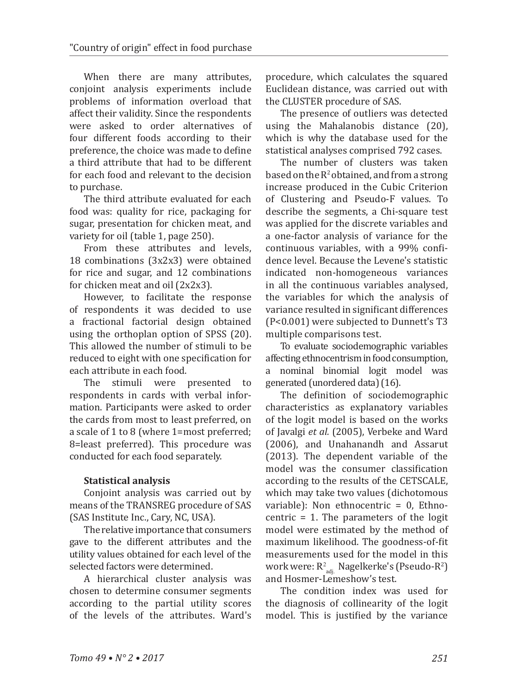When there are many attributes, conjoint analysis experiments include problems of information overload that affect their validity. Since the respondents were asked to order alternatives of four different foods according to their preference, the choice was made to define a third attribute that had to be different for each food and relevant to the decision to purchase.

The third attribute evaluated for each food was: quality for rice, packaging for sugar, presentation for chicken meat, and variety for oil (table 1, page 250).

From these attributes and levels, 18 combinations (3x2x3) were obtained for rice and sugar, and 12 combinations for chicken meat and oil (2x2x3).

However, to facilitate the response of respondents it was decided to use a fractional factorial design obtained using the orthoplan option of SPSS (20). This allowed the number of stimuli to be reduced to eight with one specification for each attribute in each food.

The stimuli were presented to respondents in cards with verbal information. Participants were asked to order the cards from most to least preferred, on a scale of 1 to 8 (where 1=most preferred; 8=least preferred). This procedure was conducted for each food separately.

### **Statistical analysis**

Conjoint analysis was carried out by means of the TRANSREG procedure of SAS (SAS Institute Inc., Cary, NC, USA).

The relative importance that consumers gave to the different attributes and the utility values obtained for each level of the selected factors were determined.

A hierarchical cluster analysis was chosen to determine consumer segments according to the partial utility scores of the levels of the attributes. Ward's

procedure, which calculates the squared Euclidean distance, was carried out with the CLUSTER procedure of SAS.

The presence of outliers was detected using the Mahalanobis distance (20), which is why the database used for the statistical analyses comprised 792 cases.

The number of clusters was taken based on the  $R^2$  obtained, and from a strong increase produced in the Cubic Criterion of Clustering and Pseudo-F values. To describe the segments, a Chi-square test was applied for the discrete variables and a one-factor analysis of variance for the continuous variables, with a 99% confidence level. Because the Levene's statistic indicated non-homogeneous variances in all the continuous variables analysed, the variables for which the analysis of variance resulted in significant differences (P<0.001) were subjected to Dunnett's T3 multiple comparisons test.

To evaluate sociodemographic variables affecting ethnocentrism in food consumption, a nominal binomial logit model was generated (unordered data) (16).

The definition of sociodemographic characteristics as explanatory variables of the logit model is based on the works of Javalgi *et al.* (2005), Verbeke and Ward (2006), and Unahanandh and Assarut (2013). The dependent variable of the model was the consumer classification according to the results of the CETSCALE, which may take two values (dichotomous variable): Non ethnocentric  $= 0$ , Ethnocentric = 1. The parameters of the logit model were estimated by the method of maximum likelihood. The goodness-of-fit measurements used for the model in this work were:  $R^2_{adj.}$  Nagelkerke's (Pseudo-R<sup>2</sup>) and Hosmer-Lemeshow's test.

The condition index was used for the diagnosis of collinearity of the logit model. This is justified by the variance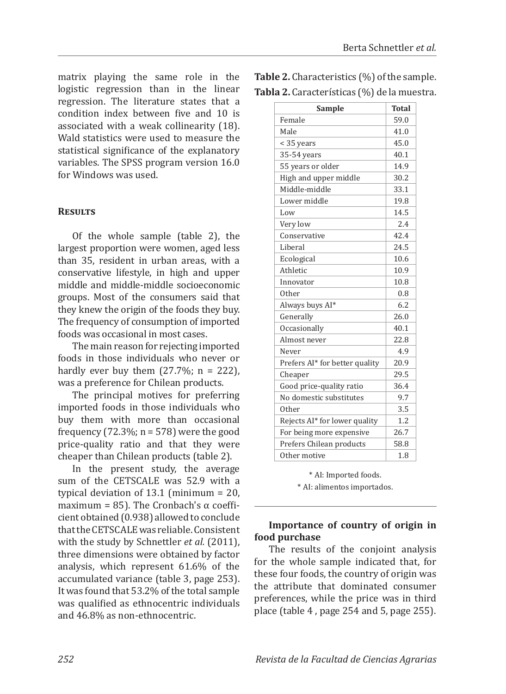matrix playing the same role in the logistic regression than in the linear regression. The literature states that a condition index between five and 10 is associated with a weak collinearity (18). Wald statistics were used to measure the statistical significance of the explanatory variables. The SPSS program version 16.0 for Windows was used.

### **Results**

Of the whole sample (table 2), the largest proportion were women, aged less than 35, resident in urban areas, with a conservative lifestyle, in high and upper middle and middle-middle socioeconomic groups. Most of the consumers said that they knew the origin of the foods they buy. The frequency of consumption of imported foods was occasional in most cases.

The main reason for rejecting imported foods in those individuals who never or hardly ever buy them  $(27.7\%; n = 222)$ , was a preference for Chilean products.

The principal motives for preferring imported foods in those individuals who buy them with more than occasional frequency (72.3%;  $n = 578$ ) were the good price-quality ratio and that they were cheaper than Chilean products (table 2).

In the present study, the average sum of the CETSCALE was 52.9 with a typical deviation of 13.1 (minimum = 20, maximum = 85). The Cronbach's  $\alpha$  coefficient obtained (0.938) allowed to conclude that the CETSCALE was reliable. Consistent with the study by Schnettler *et al.* (2011), three dimensions were obtained by factor analysis, which represent 61.6% of the accumulated variance (table 3, page 253). It was found that 53.2% of the total sample was qualified as ethnocentric individuals and 46.8% as non-ethnocentric.

**Table 2.** Characteristics (%) of the sample. **Tabla 2.** Características (%) de la muestra.

| Sample                         | <b>Total</b> |
|--------------------------------|--------------|
| Female                         | 59.0         |
| Male                           | 41.0         |
| < 35 years                     | 45.0         |
| 35-54 years                    | 40.1         |
| 55 years or older              | 14.9         |
| High and upper middle          | 30.2         |
| Middle-middle                  | 33.1         |
| Lower middle                   | 19.8         |
| Low                            | 14.5         |
| Very low                       | 2.4          |
| Conservative                   | 42.4         |
| Liberal                        | 24.5         |
| Ecological                     | 10.6         |
| Athletic                       | 10.9         |
| Innovator                      | 10.8         |
| Other                          | 0.8          |
| Always buys AI*                | 6.2          |
| Generally                      | 26.0         |
| Occasionally                   | 40.1         |
| Almost never                   | 22.8         |
| Never                          | 4.9          |
| Prefers AI* for better quality | 20.9         |
| Cheaper                        | 29.5         |
| Good price-quality ratio       | 36.4         |
| No domestic substitutes        | 9.7          |
| Other                          | 3.5          |
| Rejects AI* for lower quality  | 1.2          |
| For being more expensive       | 26.7         |
| Prefers Chilean products       | 58.8         |
| Other motive                   | 1.8          |

\* AI: Imported foods. \* AI: alimentos importados.

# **Importance of country of origin in food purchase**

The results of the conjoint analysis for the whole sample indicated that, for these four foods, the country of origin was the attribute that dominated consumer preferences, while the price was in third place (table 4 , page 254 and 5, page 255).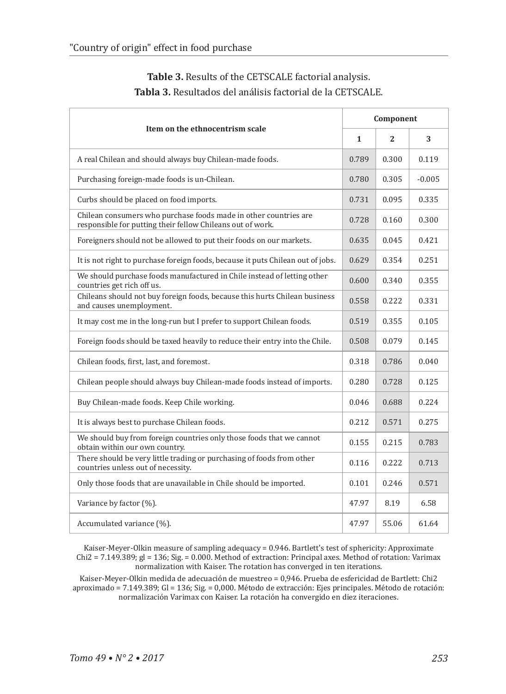| Item on the ethnocentrism scale                                                                                                |              | Component    |          |  |
|--------------------------------------------------------------------------------------------------------------------------------|--------------|--------------|----------|--|
|                                                                                                                                | $\mathbf{1}$ | $\mathbf{2}$ | 3        |  |
| A real Chilean and should always buy Chilean-made foods.                                                                       | 0.789        | 0.300        | 0.119    |  |
| Purchasing foreign-made foods is un-Chilean.                                                                                   | 0.780        | 0.305        | $-0.005$ |  |
| Curbs should be placed on food imports.                                                                                        | 0.731        | 0.095        | 0.335    |  |
| Chilean consumers who purchase foods made in other countries are<br>responsible for putting their fellow Chileans out of work. | 0.728        | 0.160        | 0.300    |  |
| Foreigners should not be allowed to put their foods on our markets.                                                            | 0.635        | 0.045        | 0.421    |  |
| It is not right to purchase foreign foods, because it puts Chilean out of jobs.                                                | 0.629        | 0.354        | 0.251    |  |
| We should purchase foods manufactured in Chile instead of letting other<br>countries get rich off us.                          | 0.600        | 0.340        | 0.355    |  |
| Chileans should not buy foreign foods, because this hurts Chilean business<br>and causes unemployment.                         | 0.558        | 0.222        | 0.331    |  |
| It may cost me in the long-run but I prefer to support Chilean foods.                                                          | 0.519        | 0.355        | 0.105    |  |
| Foreign foods should be taxed heavily to reduce their entry into the Chile.                                                    | 0.508        | 0.079        | 0.145    |  |
| Chilean foods, first, last, and foremost.                                                                                      | 0.318        | 0.786        | 0.040    |  |
| Chilean people should always buy Chilean-made foods instead of imports.                                                        | 0.280        | 0.728        | 0.125    |  |
| Buy Chilean-made foods. Keep Chile working.                                                                                    | 0.046        | 0.688        | 0.224    |  |
| It is always best to purchase Chilean foods.                                                                                   | 0.212        | 0.571        | 0.275    |  |
| We should buy from foreign countries only those foods that we cannot<br>obtain within our own country.                         | 0.155        | 0.215        | 0.783    |  |
| There should be very little trading or purchasing of foods from other<br>countries unless out of necessity.                    | 0.116        | 0.222        | 0.713    |  |
| Only those foods that are unavailable in Chile should be imported.                                                             | 0.101        | 0.246        | 0.571    |  |
| Variance by factor (%).                                                                                                        | 47.97        | 8.19         | 6.58     |  |
| Accumulated variance (%).                                                                                                      | 47.97        | 55.06        | 61.64    |  |

# **Table 3.** Results of the CETSCALE factorial analysis. **Tabla 3.** Resultados del análisis factorial de la CETSCALE.

Kaiser-Meyer-Olkin measure of sampling adequacy = 0.946. Bartlett's test of sphericity: Approximate  $Chi2 = 7.149.389$ ;  $gl = 136$ ;  $Sig = 0.000$ . Method of extraction: Principal axes. Method of rotation: Varimax normalization with Kaiser. The rotation has converged in ten iterations.

Kaiser-Meyer-Olkin medida de adecuación de muestreo = 0,946. Prueba de esfericidad de Bartlett: Chi2 aproximado = 7.149.389; Gl = 136; Sig. = 0,000. Método de extracción: Ejes principales. Método de rotación: normalización Varimax con Kaiser. La rotación ha convergido en diez iteraciones.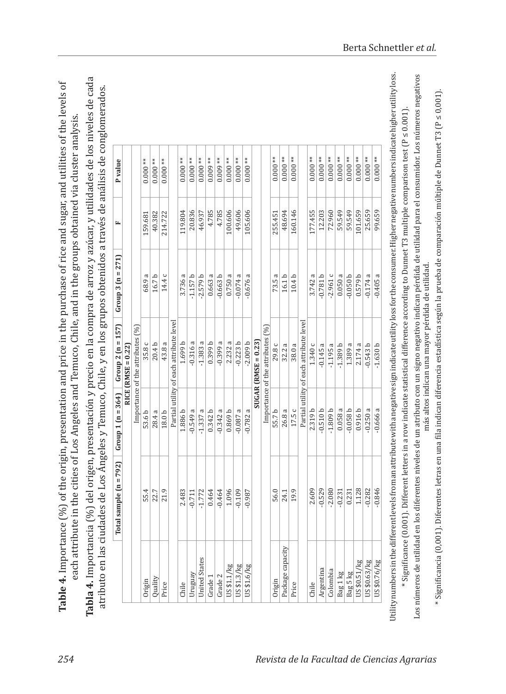| ʻ<br>$\mathbf$<br>くりくしょう<br>in und                                           | י<br>ג<br>֧֪֪֧֪֪֪֧֪֪֪֪֧֚֚֝ <sup>֓</sup> ֧֓<br>$-2 + 2 + 2 + 1$                                                                 |
|------------------------------------------------------------------------------|--------------------------------------------------------------------------------------------------------------------------------|
| ו<br>ז<br>י נו להשינות                                                       |                                                                                                                                |
| i<br>ていこう                                                                    | rolog and Tamuro Chile and in the<br>į                                                                                         |
| $\frac{1}{11}$ or contained on a contained of<br><b>CONTRACTOR CONTRACTS</b> | ŀ<br>i<br>S<br><b>NIN 0.73</b><br>į<br>ĺ<br>١                                                                                  |
| į<br>``<br>C<br>.<br>המהיה                                                   | . 1<br>1<br>1<br>1<br>1<br>1<br>1<br>1<br>1<br>1<br><br><br><br><br><br><br><br><br><br><br>$\frac{1}{2}$<br><u>יוניה</u><br>i |
| LaDIC T. II<br>$\frac{1}{2}$<br>ī<br>F                                       |                                                                                                                                |

Tabla 4. Importancia (%) del origen, presentación y precio en la compra de arroz y azúcar, y utilidades de los niveles de cada **Tabla 4.** Importancia (%) del origen, presentación y precio en la compra de arroz y azúcar, y utilidades de los niveles de cada atributo en las ciudades de Los Ángeles y Temuco, Chile, y en los grupos obtenidos a través de análisis de conglomerados. atributo en las ciudades de Los Ángeles y Temuco, Chile, y en los grupos obtenidos a través de análisis de conglomerados.

|                      | 'otal sample $(n = 792)$   Group 1 $(n = 364)$   Group 2 $(n = 157)$ |            | RICE (RMSE = $0.22$ )                   | Group 3 $(n = 271)$ | Ŀ,      | P value   |
|----------------------|----------------------------------------------------------------------|------------|-----------------------------------------|---------------------|---------|-----------|
|                      |                                                                      |            | Importance of the attributes (%)        |                     |         |           |
| Origin               | 55.4                                                                 | 53.6 b     | 35.8 c                                  | 68.9 a              | 159.681 | $0.000**$ |
| Quality              | 22.7                                                                 | 28.4 a     | 20.4 <sub>b</sub>                       | 16.7b               | 40.382  | $0.000**$ |
| Price                | 21.9                                                                 | 18.0b      | 43.8 a                                  | 14.4 c              | 214.722 | $0.000**$ |
|                      |                                                                      |            | Partial utility of each attribute level |                     |         |           |
| Chile                | 2.483                                                                | 1.886 b    | 1.699 b                                 | 3.736 a             | 119.804 | $0.000**$ |
| Uruguay              | $-0.711$                                                             | $-0.549a$  | $-0.316a$                               | $-1.157 b$          | 20.836  | $0.000**$ |
| <b>United States</b> | $-1.772$                                                             | $-1.337a$  | $-1.383a$                               | $-2.579 b$          | 46.937  | $0.000**$ |
| Grade 1              | 0.464                                                                | 0.342b     | 0.399 b                                 | 0.663a              | 4.785   | $0.009**$ |
| Grade 2              | $-0.464$                                                             | $-0.342a$  | $-0.399a$                               | $-0.663 b$          | 4.785   | $0.009**$ |
| US\$1.1/kg           | 1.096                                                                | 0.869 b    | 2.232a                                  | 0.750a              | 100.606 | $0.000**$ |
| US\$1.3/kg           | $-0.109$                                                             | $-0.087a$  | $-0.223 b$                              | $-0.074a$           | 49,606  | $0.000**$ |
| US\$1.6/kg           | $-0.987$                                                             | $-0.782a$  | $-2.009 b$                              | $-0.676a$           | 105.606 | $0.000**$ |
|                      |                                                                      |            | $SUGAR$ (RMSE = 0.23)                   |                     |         |           |
|                      |                                                                      |            | Importance of the attributes (%)        |                     |         |           |
| Origin               | 56.0                                                                 | 55.7b      | 29.8 c                                  | 73.5 a              | 255.451 | $0.000**$ |
| Package capacity     | 24.1                                                                 | 26.8 a     | 32.2a                                   | 16.1 <sub>b</sub>   | 48.694  | $0.000**$ |
| Price                | 19.9                                                                 | 17.5 c     | 38.0a                                   | 10.4 <sub>b</sub>   | 160.146 | $0.000**$ |
|                      |                                                                      |            | Partial utility of each attribute level |                     |         |           |
| Chile                | 2.609                                                                | 2.319 b    | 1.340 c                                 | 3.742a              | 177.455 | $0.000**$ |
| Argentina            | $-0.529$                                                             | $-0.510 b$ | $-0.145a$                               | $-0.781 b$          | 12.203  | $0.000**$ |
| Colombia             | $-2.080$                                                             | $-1.809 b$ | $-1.195a$                               | $-2.961c$           | 72.960  | $0.000**$ |
| Bag 1 kg             | $-0.231$                                                             | 0.058a     | $-1.389b$                               | 0.050a              | 59.549  | $0.000**$ |
| Bag 5 kg             | 0.231                                                                | $-0.058b$  | 1.389 a                                 | $-0.050 b$          | 59.549  | $0.000**$ |
| US\$0.51/kg          | 1.128                                                                | 0.916 b    | 2.174a                                  | 0.579 b             | 101.659 | $0.000**$ |
| US\$0.63/kg          | $-0.282$                                                             | $-0.250a$  | $-0.543b$                               | $-0.174a$           | 25.659  | $0.000**$ |
| US\$0.76/kg          | $-0.846$                                                             | $-0.666a$  | $-1.630 b$                              | $-0.405a$           | 99.659  | $0.000**$ |

Los números de utilidad en los diferentes niveles de un atributo con un signo negativo indican pérdida de utilidad para el consumidor. Los números negativos Los números de utilidad en los diferentes niveles de un atributo con un signo negativo indican pérdida de utilidad para el consumidor. Los números negativos \* Significancia (0,001). Diferentes letras en una fila indican diferencia estadística según la prueba de comparación múltiple de Dunnet T3 (P ≤ 0,001). \* Significancia (0,001). Diferentes letras en una fila indican diferencia estadística según la prueba de comparación múltiple de Dunnet T3 (P ≤ 0,001). más altos indican una mayor pérdida de utilidad. más altos indican una mayor pérdida de utilidad.

Utility numbers in the different levels from an attribute with a negative sign indicate utility loss for the consumer. Higher negative numbers indicate higher utility loss. \* Significance (0.001). Different letters in a row indicate statistical difference according to Dunnet T3 multiple comparison test (P ≤ 0.001).

' Significance (0.001). Different letters in a row indicate statistical difference according to Dunnet T3 multiple comparison test (P ≤ 0.001).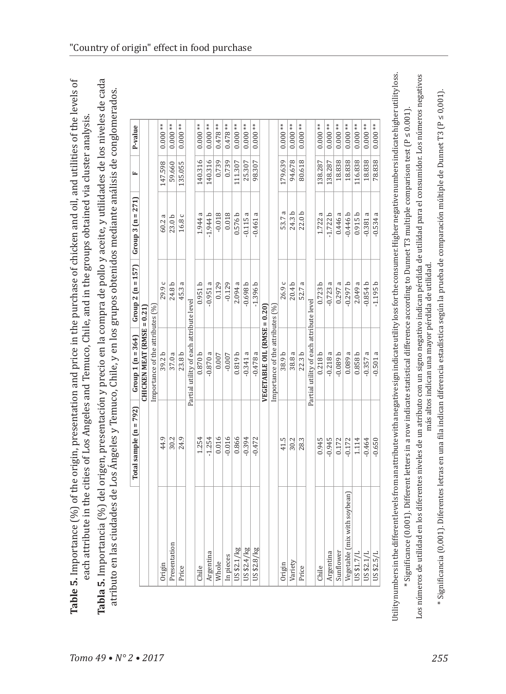| נו<br>גע                               |                   |                  |
|----------------------------------------|-------------------|------------------|
|                                        |                   |                  |
|                                        |                   |                  |
|                                        |                   |                  |
|                                        |                   |                  |
|                                        |                   |                  |
|                                        |                   |                  |
| d oil and u'                           |                   |                  |
|                                        |                   |                  |
|                                        |                   |                  |
| chiclean ar                            |                   |                  |
|                                        |                   |                  |
|                                        |                   |                  |
|                                        |                   | ;                |
|                                        |                   |                  |
|                                        |                   |                  |
|                                        |                   |                  |
|                                        |                   |                  |
|                                        | المماز أممت ماأنط |                  |
|                                        | :<br>;<br>;       |                  |
| a arigin procentation and price in the |                   |                  |
| $\frac{1}{2}$                          |                   |                  |
|                                        |                   |                  |
|                                        |                   |                  |
|                                        |                   |                  |
|                                        |                   |                  |
|                                        |                   |                  |
|                                        |                   |                  |
|                                        |                   |                  |
|                                        | +م منهند مد       |                  |
|                                        |                   |                  |
|                                        |                   |                  |
|                                        |                   |                  |
|                                        |                   |                  |
|                                        | $\alpha$          |                  |
|                                        |                   |                  |
| cowas 1                                |                   |                  |
|                                        |                   |                  |
| . יש שושא                              |                   | ,<br>,<br>,<br>, |
|                                        |                   |                  |
|                                        |                   |                  |

 $\sigma$ 

| atributo en las ciudades de Los Angeles y Temuco, Chile, y en los grupos obtenidos mediante análisis de conglomerados. |                          |                                         |                     |                     |         |           |
|------------------------------------------------------------------------------------------------------------------------|--------------------------|-----------------------------------------|---------------------|---------------------|---------|-----------|
|                                                                                                                        | Total sample $(n = 792)$ | Group 1 $(n = 364)$                     | Group 2 $(n = 157)$ | Group 3 $(n = 271)$ | щ       | P-value   |
|                                                                                                                        |                          | CHICKEN MEAT (RMSE = $0.21$ )           |                     |                     |         |           |
|                                                                                                                        |                          | Importance of the attributes (%)        |                     |                     |         |           |
| Origin                                                                                                                 | 44.9                     | 39.2b                                   | 29.9 c              | 60.2 a              | 147.598 | $0.000**$ |
| Presentation                                                                                                           | 30.2                     | 37.0 a                                  | 24.8 b              | 23.0 <sub>b</sub>   | 59.660  | $0.000**$ |
| Price                                                                                                                  | 24.9                     | 23.8 <sub>b</sub>                       | 45.3 a              | 16.8 c              | 135.055 | $0.000**$ |
|                                                                                                                        |                          | Partial utility of each attribute level |                     |                     |         |           |
| Chile                                                                                                                  | 1.254                    | 0.870 <sub>b</sub>                      | 0.951b              | 1.944               | 140.316 | $0.000**$ |
| Argentina                                                                                                              | $-1.254$                 | $-0.870a$                               | $-0.951a$           | $-1.944 b$          | 140.316 | $0.000**$ |
| Whole                                                                                                                  | 0.016                    | 0.007                                   | 0.129               | $-0.018$            | 0.739   | $0.478**$ |
| In pieces                                                                                                              | $-0.016$                 | $-0.007$                                | $-0.129$            | 0.018               | 0.739   | $0.478**$ |
| US\$2.1/kg                                                                                                             | 0.866                    | 0.819 <sub>b</sub>                      | 2.094a              | 0.576 b             | 111.307 | $0.000**$ |
| US\$2.4/kg                                                                                                             | $-0.394$                 | $-0.341a$                               | $-0.698b$           | $-0.115$            | 25.307  | 0.000     |
| US\$2.8/kg                                                                                                             | $-0.472$                 | $-0.478a$                               | $-1.396b$           | $-0.461$            | 98.307  | $0.000**$ |
|                                                                                                                        |                          | VEGETABLE OIL (RMSE = 0.20)             |                     |                     |         |           |
|                                                                                                                        |                          | Importance of the attributes (%         |                     |                     |         |           |
| Origin                                                                                                                 | 41.5                     | 38.9b                                   | 26.9 c              | 53.7a               | 179.639 | $0.000**$ |
| Variety                                                                                                                | 30.2                     | 38.8 a                                  | 20.4 <sub>b</sub>   | 24.3 b              | 94.678  | $0.000**$ |
| Price                                                                                                                  | 28.3                     | 22.3 <sub>b</sub>                       | 52.7 a              | 22.0 <sub>b</sub>   | 80.618  | $0.000**$ |
|                                                                                                                        |                          | Partial utility of each attribute level |                     |                     |         |           |
| Chile                                                                                                                  | 0.945                    | 0.218b                                  | 0.723b              | 1.722 a             | 138.287 | $0.000**$ |
| Argentina                                                                                                              | $-0.945$                 | $-0.218a$                               | $-0.723a$           | $-1.722 b$          | 138.287 | $0.000**$ |
| Sunflower                                                                                                              | 0.172                    | $-0.089b$                               | 0.297a              | 0.446a              | 18.838  | $0.000**$ |
| with soybean)<br>Vegetable (mix                                                                                        | $-0.172$                 | 0.089a                                  | $-0.297 b$          | $-0.446 b$          | 18.838  | $0.000**$ |
| US\$1.7/1                                                                                                              | 1.114                    | 0.858 b                                 | 2.049a              | 0.915b              | 116.838 | $0.000**$ |
| US\$2.1/                                                                                                               | $-0.464$                 | π<br>$-0.357$                           | $-0.854b$           | $-0.381$            | 18.838  | $0.000**$ |
| US \$2.5/L                                                                                                             | $-0.650$                 | $-0.501a$                               | $-1.195b$           | ß<br>$-0.534$       | 78.838  | $0.000**$ |

Jtility numbers in the different levels from an attribute with a negative sign indicate utility loss for the consumer. Higher negative numbers indicate higher utility loss. Utility numbers in the different levels from an attribute with a negative sign indicate utility loss for the consumer. Higher negative numbers indicate higher utility loss.

Los números de utilidad en los diferentes niveles de un atributo con un signo negativo indican pérdida de utilidad para el consumidor. Los números negativos<br>más altos indican una mayor pérdida de utilidad. Los números de utilidad en los diferentes niveles de un atributo con un signo negativo indican pérdida de utilidad para el consumidor. Los números negativos Significance (0.001). Different letters in a row indicate statistical difference according to Dunnet T3 multiple comparison test (P ≤ 0.001). \* Significance (0.001). Different letters in a row indicate statistical difference according to Dunnet T3 multiple comparison test (P ≤ 0.001). más altos indican una mayor pérdida de utilidad.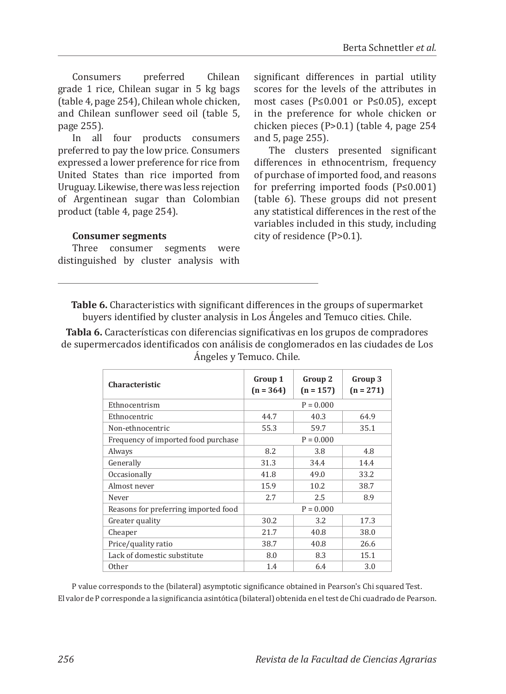Consumers preferred Chilean grade 1 rice, Chilean sugar in 5 kg bags (table 4, page 254), Chilean whole chicken, and Chilean sunflower seed oil (table 5, page 255).

In all four products consumers preferred to pay the low price. Consumers expressed a lower preference for rice from United States than rice imported from Uruguay. Likewise, there was less rejection of Argentinean sugar than Colombian product (table 4, page 254).

significant differences in partial utility scores for the levels of the attributes in most cases (P≤0.001 or P≤0.05), except in the preference for whole chicken or chicken pieces (P>0.1) (table 4, page 254 and 5, page 255).

The clusters presented significant differences in ethnocentrism, frequency of purchase of imported food, and reasons for preferring imported foods (P≤0.001) (table 6). These groups did not present any statistical differences in the rest of the variables included in this study, including city of residence (P>0.1).

### **Consumer segments**

Three consumer segments were distinguished by cluster analysis with

**Table 6.** Characteristics with significant differences in the groups of supermarket buyers identified by cluster analysis in Los Ángeles and Temuco cities. Chile.

**Tabla 6.** Características con diferencias significativas en los grupos de compradores de supermercados identificados con análisis de conglomerados en las ciudades de Los Ángeles y Temuco. Chile.

| Characteristic                       | Group 1<br>$(n = 364)$ | Group 2<br>$(n = 157)$ | Group 3<br>$(n = 271)$ |
|--------------------------------------|------------------------|------------------------|------------------------|
| Ethnocentrism                        |                        | $P = 0.000$            |                        |
| Ethnocentric                         | 44.7                   | 40.3                   | 64.9                   |
| Non-ethnocentric                     | 55.3                   | 59.7                   | 35.1                   |
| Frequency of imported food purchase  |                        | $P = 0.000$            |                        |
| Always                               | 8.2                    | 3.8                    | 4.8                    |
| Generally                            | 31.3                   | 34.4                   | 14.4                   |
| Occasionally                         | 41.8                   | 49.0                   | 33.2                   |
| Almost never                         | 15.9                   | 10.2                   | 38.7                   |
| Never                                | 2.7                    | 2.5                    | 8.9                    |
| Reasons for preferring imported food |                        | $P = 0.000$            |                        |
| Greater quality                      | 30.2                   | 3.2                    | 17.3                   |
| Cheaper                              | 21.7                   | 40.8                   | 38.0                   |
| Price/quality ratio                  | 38.7                   | 40.8                   | 26.6                   |
| Lack of domestic substitute          | 8.0                    | 8.3                    | 15.1                   |
| Other                                | 1.4                    | 6.4                    | 3.0                    |

P value corresponds to the (bilateral) asymptotic significance obtained in Pearson's Chi squared Test. El valor de P corresponde a la significancia asintótica (bilateral) obtenida en el test de Chi cuadrado de Pearson.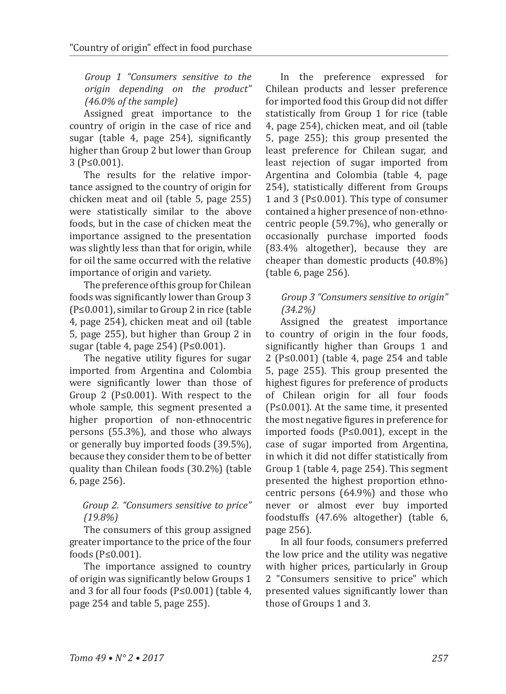*Group 1 "Consumers sensitive to the origin depending on the product" (46.0% of the sample)*

Assigned great importance to the country of origin in the case of rice and sugar (table 4, page 254), significantly higher than Group 2 but lower than Group 3 (P≤0.001).

The results for the relative importance assigned to the country of origin for chicken meat and oil (table 5, page 255) were statistically similar to the above foods, but in the case of chicken meat the importance assigned to the presentation was slightly less than that for origin, while for oil the same occurred with the relative importance of origin and variety.

The preference of this group for Chilean foods was significantly lower than Group 3 (P≤0.001), similar to Group 2 in rice (table 4, page 254), chicken meat and oil (table 5, page 255), but higher than Group 2 in sugar (table 4, page 254) (P≤0.001).

The negative utility figures for sugar imported from Argentina and Colombia were significantly lower than those of Group 2 ( $P \le 0.001$ ). With respect to the whole sample, this segment presented a higher proportion of non-ethnocentric persons (55.3%), and those who always or generally buy imported foods (39.5%), because they consider them to be of better quality than Chilean foods (30.2%) (table 6, page 256).

### *Group 2. "Consumers sensitive to price" (19.8%)*

The consumers of this group assigned greater importance to the price of the four foods (P≤0.001).

The importance assigned to country of origin was significantly below Groups 1 and 3 for all four foods (P≤0.001) (table 4, page 254 and table 5, page 255).

In the preference expressed for Chilean products and lesser preference for imported food this Group did not differ statistically from Group 1 for rice (table 4, page 254), chicken meat, and oil (table 5, page 255); this group presented the least preference for Chilean sugar, and least rejection of sugar imported from Argentina and Colombia (table 4, page 254), statistically different from Groups 1 and 3 (P≤0.001). This type of consumer contained a higher presence of non-ethnocentric people (59.7%), who generally or occasionally purchase imported foods (83.4% altogether), because they are cheaper than domestic products (40.8%) (table 6, page 256).

## *Group 3 "Consumers sensitive to origin" (34.2%)*

Assigned the greatest importance to country of origin in the four foods, significantly higher than Groups 1 and 2 (P≤0.001) (table 4, page 254 and table 5, page 255). This group presented the highest figures for preference of products of Chilean origin for all four foods (P≤0.001). At the same time, it presented the most negative figures in preference for imported foods (P≤0.001), except in the case of sugar imported from Argentina, in which it did not differ statistically from Group 1 (table 4, page 254). This segment presented the highest proportion ethnocentric persons (64.9%) and those who never or almost ever buy imported foodstuffs (47.6% altogether) (table 6, page 256).

In all four foods, consumers preferred the low price and the utility was negative with higher prices, particularly in Group 2 "Consumers sensitive to price" which presented values significantly lower than those of Groups 1 and 3.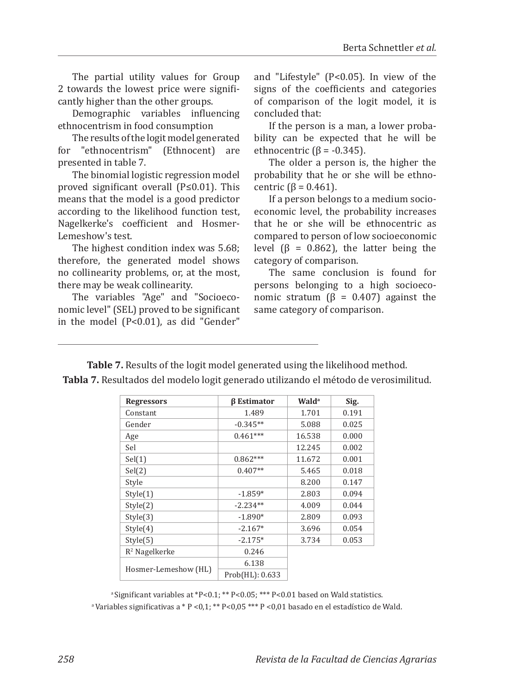*258*

The partial utility values for Group 2 towards the lowest price were significantly higher than the other groups.

Demographic variables influencing ethnocentrism in food consumption

The results of the logit model generated for "ethnocentrism" (Ethnocent) are presented in table 7.

The binomial logistic regression model proved significant overall (P≤0.01). This means that the model is a good predictor according to the likelihood function test, Nagelkerke's coefficient and Hosmer-Lemeshow's test.

The highest condition index was 5.68; therefore, the generated model shows no collinearity problems, or, at the most, there may be weak collinearity.

The variables "Age" and "Socioeconomic level" (SEL) proved to be significant in the model (P<0.01), as did "Gender"

and "Lifestyle" (P<0.05). In view of the signs of the coefficients and categories of comparison of the logit model, it is concluded that:

If the person is a man, a lower probability can be expected that he will be ethnocentric  $(β = -0.345)$ .

The older a person is, the higher the probability that he or she will be ethnocentric ( $β = 0.461$ ).

If a person belongs to a medium socioeconomic level, the probability increases that he or she will be ethnocentric as compared to person of low socioeconomic level ( $β = 0.862$ ), the latter being the category of comparison.

The same conclusion is found for persons belonging to a high socioeconomic stratum ( $β = 0.407$ ) against the same category of comparison.

**Table 7.** Results of the logit model generated using the likelihood method.

| Tabla 7. Resultados del modelo logit generado utilizando el método de verosimilitud. |  |
|--------------------------------------------------------------------------------------|--|
|--------------------------------------------------------------------------------------|--|

| <b>Regressors</b>    | <b>B</b> Estimator | <b>Wald</b> <sup>a</sup> | Sig.  |
|----------------------|--------------------|--------------------------|-------|
| Constant             | 1.489              | 1.701                    | 0.191 |
| Gender               | $-0.345**$         | 5.088                    | 0.025 |
| Age                  | $0.461***$         | 16.538                   | 0.000 |
| Sel                  |                    | 12.245                   | 0.002 |
| Sel(1)               | $0.862***$         | 11.672                   | 0.001 |
| Sel(2)               | $0.407**$          | 5.465                    | 0.018 |
| Style                |                    | 8.200                    | 0.147 |
| Style(1)             | $-1.859*$          | 2.803                    | 0.094 |
| Style(2)             | $-2.234**$         | 4.009                    | 0.044 |
| Style(3)             | $-1.890*$          | 2.809                    | 0.093 |
| Style(4)             | $-2.167*$          | 3.696                    | 0.054 |
| Style(5)             | $-2.175*$          | 3.734                    | 0.053 |
| $R2$ Nagelkerke      | 0.246              |                          |       |
|                      | 6.138              |                          |       |
| Hosmer-Lemeshow (HL) | Prob(HL): 0.633    |                          |       |

<sup>a</sup>Significant variables at \*P<0.1; \*\* P<0.05; \*\*\* P<0.01 based on Wald statistics. <sup>a</sup> Variables significativas a \* P < 0,1; \*\* P < 0,05 \*\*\* P < 0,01 basado en el estadístico de Wald.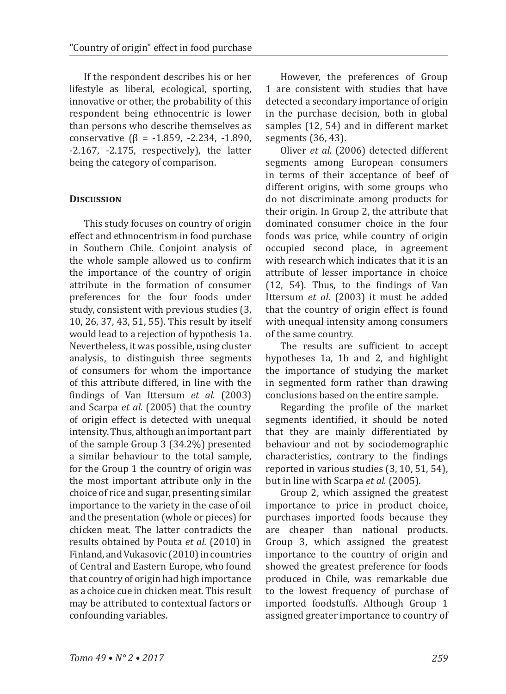If the respondent describes his or her lifestyle as liberal, ecological, sporting, innovative or other, the probability of this respondent being ethnocentric is lower than persons who describe themselves as conservative (β = -1.859, -2.234, -1.890, -2.167, -2.175, respectively), the latter being the category of comparison.

### **Discussion**

This study focuses on country of origin effect and ethnocentrism in food purchase in Southern Chile. Conjoint analysis of the whole sample allowed us to confirm the importance of the country of origin attribute in the formation of consumer preferences for the four foods under study, consistent with previous studies (3, 10, 26, 37, 43, 51, 55). This result by itself would lead to a rejection of hypothesis 1a. Nevertheless, it was possible, using cluster analysis, to distinguish three segments of consumers for whom the importance of this attribute differed, in line with the findings of Van Ittersum *et al.* (2003) and Scarpa *et al.* (2005) that the country of origin effect is detected with unequal intensity. Thus, although an important part of the sample Group 3 (34.2%) presented a similar behaviour to the total sample, for the Group 1 the country of origin was the most important attribute only in the choice of rice and sugar, presenting similar importance to the variety in the case of oil and the presentation (whole or pieces) for chicken meat. The latter contradicts the results obtained by Pouta *et al.* (2010) in Finland, and Vukasovic (2010) in countries of Central and Eastern Europe, who found that country of origin had high importance as a choice cue in chicken meat. This result may be attributed to contextual factors or confounding variables.

However, the preferences of Group 1 are consistent with studies that have detected a secondary importance of origin in the purchase decision, both in global samples (12, 54) and in different market segments (36, 43).

Oliver *et al.* (2006) detected different segments among European consumers in terms of their acceptance of beef of different origins, with some groups who do not discriminate among products for their origin. In Group 2, the attribute that dominated consumer choice in the four foods was price, while country of origin occupied second place, in agreement with research which indicates that it is an attribute of lesser importance in choice (12, 54). Thus, to the findings of Van Ittersum *et al.* (2003) it must be added that the country of origin effect is found with unequal intensity among consumers of the same country.

The results are sufficient to accept hypotheses 1a, 1b and 2, and highlight the importance of studying the market in segmented form rather than drawing conclusions based on the entire sample.

Regarding the profile of the market segments identified, it should be noted that they are mainly differentiated by behaviour and not by sociodemographic characteristics, contrary to the findings reported in various studies (3, 10, 51, 54), but in line with Scarpa *et al.* (2005).

Group 2, which assigned the greatest importance to price in product choice, purchases imported foods because they are cheaper than national products. Group 3, which assigned the greatest importance to the country of origin and showed the greatest preference for foods produced in Chile, was remarkable due to the lowest frequency of purchase of imported foodstuffs. Although Group 1 assigned greater importance to country of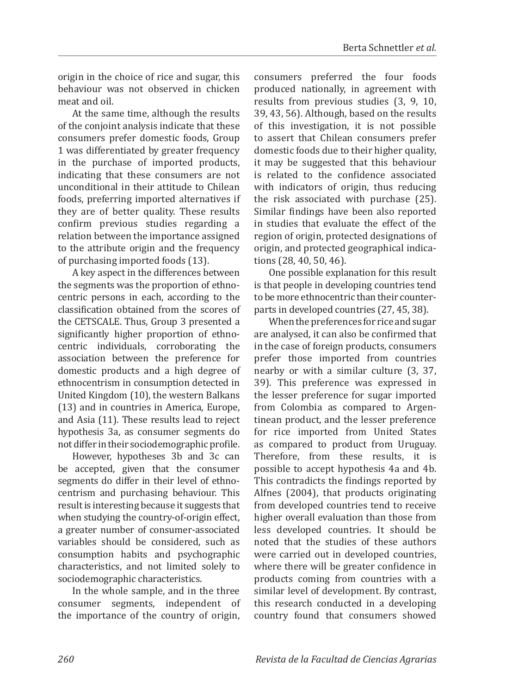origin in the choice of rice and sugar, this behaviour was not observed in chicken meat and oil.

At the same time, although the results of the conjoint analysis indicate that these consumers prefer domestic foods, Group 1 was differentiated by greater frequency in the purchase of imported products, indicating that these consumers are not unconditional in their attitude to Chilean foods, preferring imported alternatives if they are of better quality. These results confirm previous studies regarding a relation between the importance assigned to the attribute origin and the frequency of purchasing imported foods (13).

A key aspect in the differences between the segments was the proportion of ethnocentric persons in each, according to the classification obtained from the scores of the CETSCALE. Thus, Group 3 presented a significantly higher proportion of ethnocentric individuals, corroborating the association between the preference for domestic products and a high degree of ethnocentrism in consumption detected in United Kingdom (10), the western Balkans (13) and in countries in America, Europe, and Asia (11). These results lead to reject hypothesis 3a, as consumer segments do not differ in their sociodemographic profile.

However, hypotheses 3b and 3c can be accepted, given that the consumer segments do differ in their level of ethnocentrism and purchasing behaviour. This result is interesting because it suggests that when studying the country-of-origin effect, a greater number of consumer-associated variables should be considered, such as consumption habits and psychographic characteristics, and not limited solely to sociodemographic characteristics.

In the whole sample, and in the three consumer segments, independent of the importance of the country of origin,

consumers preferred the four foods produced nationally, in agreement with results from previous studies (3, 9, 10, 39, 43, 56). Although, based on the results of this investigation, it is not possible to assert that Chilean consumers prefer domestic foods due to their higher quality, it may be suggested that this behaviour is related to the confidence associated with indicators of origin, thus reducing the risk associated with purchase (25). Similar findings have been also reported in studies that evaluate the effect of the region of origin, protected designations of origin, and protected geographical indications (28, 40, 50, 46).

One possible explanation for this result is that people in developing countries tend to be more ethnocentric than their counterparts in developed countries (27, 45, 38).

When the preferences for rice and sugar are analysed, it can also be confirmed that in the case of foreign products, consumers prefer those imported from countries nearby or with a similar culture (3, 37, 39). This preference was expressed in the lesser preference for sugar imported from Colombia as compared to Argentinean product, and the lesser preference for rice imported from United States as compared to product from Uruguay. Therefore, from these results, it is possible to accept hypothesis 4a and 4b. This contradicts the findings reported by Alfnes (2004), that products originating from developed countries tend to receive higher overall evaluation than those from less developed countries. It should be noted that the studies of these authors were carried out in developed countries, where there will be greater confidence in products coming from countries with a similar level of development. By contrast, this research conducted in a developing country found that consumers showed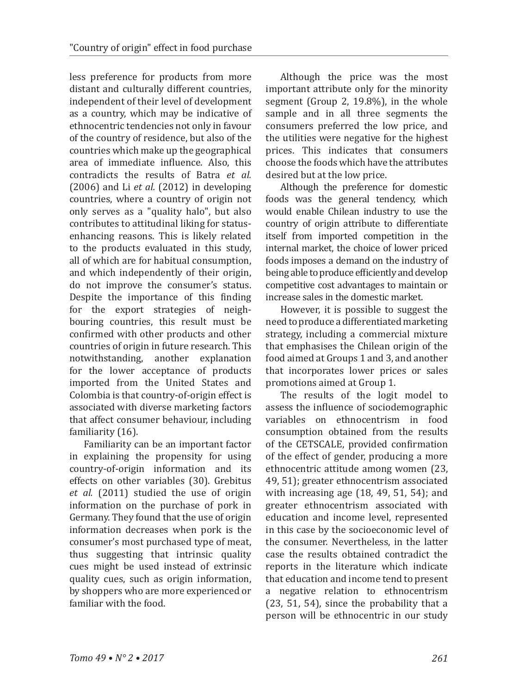less preference for products from more distant and culturally different countries, independent of their level of development as a country, which may be indicative of ethnocentric tendencies not only in favour of the country of residence, but also of the countries which make up the geographical area of immediate influence. Also, this contradicts the results of Batra *et al.* (2006) and Li *et al.* (2012) in developing countries, where a country of origin not only serves as a "quality halo", but also contributes to attitudinal liking for statusenhancing reasons. This is likely related to the products evaluated in this study, all of which are for habitual consumption, and which independently of their origin, do not improve the consumer's status. Despite the importance of this finding for the export strategies of neighbouring countries, this result must be confirmed with other products and other countries of origin in future research. This notwithstanding, another explanation for the lower acceptance of products imported from the United States and Colombia is that country-of-origin effect is associated with diverse marketing factors that affect consumer behaviour, including familiarity (16).

Familiarity can be an important factor in explaining the propensity for using country-of-origin information and its effects on other variables (30). Grebitus *et al.* (2011) studied the use of origin information on the purchase of pork in Germany. They found that the use of origin information decreases when pork is the consumer's most purchased type of meat, thus suggesting that intrinsic quality cues might be used instead of extrinsic quality cues, such as origin information, by shoppers who are more experienced or familiar with the food.

Although the price was the most important attribute only for the minority segment (Group 2, 19.8%), in the whole sample and in all three segments the consumers preferred the low price, and the utilities were negative for the highest prices. This indicates that consumers choose the foods which have the attributes desired but at the low price.

Although the preference for domestic foods was the general tendency, which would enable Chilean industry to use the country of origin attribute to differentiate itself from imported competition in the internal market, the choice of lower priced foods imposes a demand on the industry of being able to produce efficiently and develop competitive cost advantages to maintain or increase sales in the domestic market.

However, it is possible to suggest the need to produce a differentiated marketing strategy, including a commercial mixture that emphasises the Chilean origin of the food aimed at Groups 1 and 3, and another that incorporates lower prices or sales promotions aimed at Group 1.

The results of the logit model to assess the influence of sociodemographic variables on ethnocentrism in food consumption obtained from the results of the CETSCALE, provided confirmation of the effect of gender, producing a more ethnocentric attitude among women (23, 49, 51); greater ethnocentrism associated with increasing age (18, 49, 51, 54); and greater ethnocentrism associated with education and income level, represented in this case by the socioeconomic level of the consumer. Nevertheless, in the latter case the results obtained contradict the reports in the literature which indicate that education and income tend to present a negative relation to ethnocentrism (23, 51, 54), since the probability that a person will be ethnocentric in our study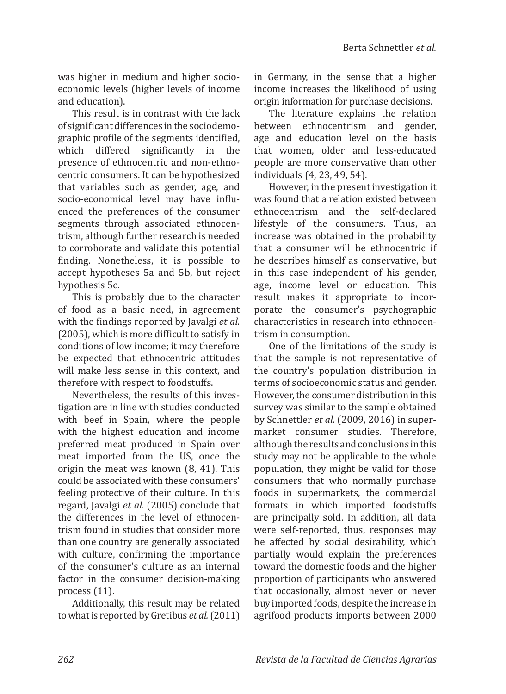was higher in medium and higher socioeconomic levels (higher levels of income and education).

This result is in contrast with the lack of significant differences in the sociodemographic profile of the segments identified, which differed significantly in the presence of ethnocentric and non-ethnocentric consumers. It can be hypothesized that variables such as gender, age, and socio-economical level may have influenced the preferences of the consumer segments through associated ethnocentrism, although further research is needed to corroborate and validate this potential finding. Nonetheless, it is possible to accept hypotheses 5a and 5b, but reject hypothesis 5c.

This is probably due to the character of food as a basic need, in agreement with the findings reported by Javalgi *et al.* (2005), which is more difficult to satisfy in conditions of low income; it may therefore be expected that ethnocentric attitudes will make less sense in this context, and therefore with respect to foodstuffs.

Nevertheless, the results of this investigation are in line with studies conducted with beef in Spain, where the people with the highest education and income preferred meat produced in Spain over meat imported from the US, once the origin the meat was known (8, 41). This could be associated with these consumers' feeling protective of their culture. In this regard, Javalgi *et al.* (2005) conclude that the differences in the level of ethnocentrism found in studies that consider more than one country are generally associated with culture, confirming the importance of the consumer's culture as an internal factor in the consumer decision-making process (11).

Additionally, this result may be related to what is reported by Gretibus *et al.*(2011) in Germany, in the sense that a higher income increases the likelihood of using origin information for purchase decisions.

The literature explains the relation between ethnocentrism and gender, age and education level on the basis that women, older and less-educated people are more conservative than other individuals (4, 23, 49, 54).

However, in the present investigation it was found that a relation existed between ethnocentrism and the self-declared lifestyle of the consumers. Thus, an increase was obtained in the probability that a consumer will be ethnocentric if he describes himself as conservative, but in this case independent of his gender, age, income level or education. This result makes it appropriate to incorporate the consumer's psychographic characteristics in research into ethnocentrism in consumption.

One of the limitations of the study is that the sample is not representative of the country's population distribution in terms of socioeconomic status and gender. However, the consumer distribution in this survey was similar to the sample obtained by Schnettler *et al.* (2009, 2016) in supermarket consumer studies. Therefore, although the results and conclusions in this study may not be applicable to the whole population, they might be valid for those consumers that who normally purchase foods in supermarkets, the commercial formats in which imported foodstuffs are principally sold. In addition, all data were self-reported, thus, responses may be affected by social desirability, which partially would explain the preferences toward the domestic foods and the higher proportion of participants who answered that occasionally, almost never or never buy imported foods, despite the increase in agrifood products imports between 2000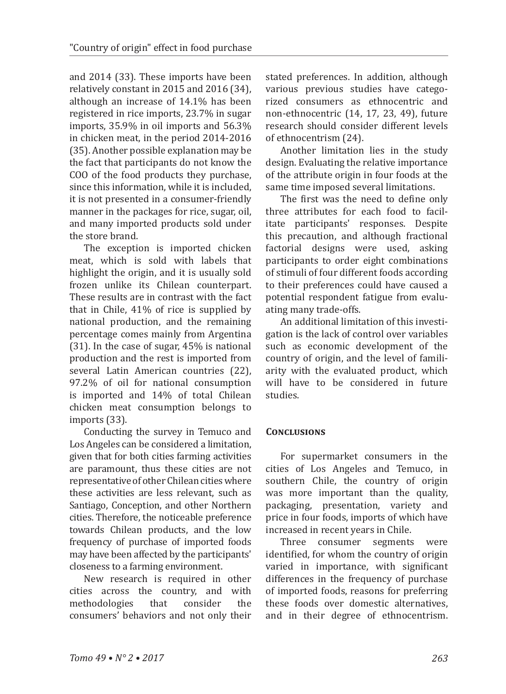and 2014 (33). These imports have been relatively constant in 2015 and 2016 (34), although an increase of 14.1% has been registered in rice imports, 23.7% in sugar imports, 35.9% in oil imports and 56.3% in chicken meat, in the period 2014-2016 (35). Another possible explanation may be the fact that participants do not know the COO of the food products they purchase, since this information, while it is included, it is not presented in a consumer-friendly manner in the packages for rice, sugar, oil, and many imported products sold under the store brand.

The exception is imported chicken meat, which is sold with labels that highlight the origin, and it is usually sold frozen unlike its Chilean counterpart. These results are in contrast with the fact that in Chile, 41% of rice is supplied by national production, and the remaining percentage comes mainly from Argentina (31). In the case of sugar, 45% is national production and the rest is imported from several Latin American countries (22), 97.2% of oil for national consumption is imported and 14% of total Chilean chicken meat consumption belongs to imports (33).

Conducting the survey in Temuco and Los Angeles can be considered a limitation, given that for both cities farming activities are paramount, thus these cities are not representative of other Chilean cities where these activities are less relevant, such as Santiago, Conception, and other Northern cities. Therefore, the noticeable preference towards Chilean products, and the low frequency of purchase of imported foods may have been affected by the participants' closeness to a farming environment.

New research is required in other<br>es across the country, and with cities across the country, and with<br>methodologies that consider the methodologies consumers' behaviors and not only their stated preferences. In addition, although various previous studies have categorized consumers as ethnocentric and non-ethnocentric (14, 17, 23, 49), future research should consider different levels of ethnocentrism (24).

Another limitation lies in the study design. Evaluating the relative importance of the attribute origin in four foods at the same time imposed several limitations.

The first was the need to define only three attributes for each food to facilitate participants' responses. Despite this precaution, and although fractional factorial designs were used, asking participants to order eight combinations of stimuli of four different foods according to their preferences could have caused a potential respondent fatigue from evaluating many trade-offs.

An additional limitation of this investigation is the lack of control over variables such as economic development of the country of origin, and the level of familiarity with the evaluated product, which will have to be considered in future studies.

### **Conclusions**

For supermarket consumers in the cities of Los Angeles and Temuco, in southern Chile, the country of origin was more important than the quality, packaging, presentation, variety and price in four foods, imports of which have increased in recent years in Chile.

consumer segments were identified, for whom the country of origin varied in importance, with significant differences in the frequency of purchase of imported foods, reasons for preferring these foods over domestic alternatives, and in their degree of ethnocentrism.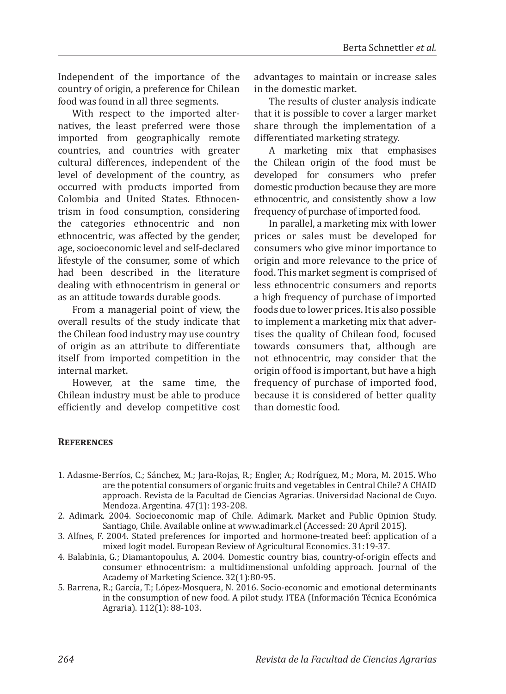Independent of the importance of the country of origin, a preference for Chilean food was found in all three segments.

With respect to the imported alternatives, the least preferred were those imported from geographically remote countries, and countries with greater cultural differences, independent of the level of development of the country, as occurred with products imported from Colombia and United States. Ethnocentrism in food consumption, considering the categories ethnocentric and non ethnocentric, was affected by the gender, age, socioeconomic level and self-declared lifestyle of the consumer, some of which had been described in the literature dealing with ethnocentrism in general or as an attitude towards durable goods.

From a managerial point of view, the overall results of the study indicate that the Chilean food industry may use country of origin as an attribute to differentiate itself from imported competition in the internal market.

However, at the same time, the Chilean industry must be able to produce efficiently and develop competitive cost advantages to maintain or increase sales in the domestic market.

The results of cluster analysis indicate that it is possible to cover a larger market share through the implementation of a differentiated marketing strategy.

A marketing mix that emphasises the Chilean origin of the food must be developed for consumers who prefer domestic production because they are more ethnocentric, and consistently show a low frequency of purchase of imported food.

In parallel, a marketing mix with lower prices or sales must be developed for consumers who give minor importance to origin and more relevance to the price of food. This market segment is comprised of less ethnocentric consumers and reports a high frequency of purchase of imported foods due to lower prices. It is also possible to implement a marketing mix that advertises the quality of Chilean food, focused towards consumers that, although are not ethnocentric, may consider that the origin of food is important, but have a high frequency of purchase of imported food, because it is considered of better quality than domestic food.

### **References**

- 1. Adasme-Berríos, C.; Sánchez, M.; Jara-Rojas, R.; Engler, A.; Rodríguez, M.; Mora, M. 2015. Who are the potential consumers of organic fruits and vegetables in Central Chile? A CHAID approach. Revista de la Facultad de Ciencias Agrarias. Universidad Nacional de Cuyo. Mendoza. Argentina. 47(1): 193-208.
- 2. Adimark. 2004. Socioeconomic map of Chile. Adimark. Market and Public Opinion Study. Santiago, Chile. Available online at www.adimark.cl (Accessed: 20 April 2015).
- 3. Alfnes, F. 2004. Stated preferences for imported and hormone-treated beef: application of a mixed logit model. European Review of Agricultural Economics. 31:19-37.
- 4. Balabinia, G.; Diamantopoulus, A. 2004. Domestic country bias, country-of-origin effects and consumer ethnocentrism: a multidimensional unfolding approach. Journal of the Academy of Marketing Science. 32(1):80-95.
- 5. Barrena, R.; García, T.; López-Mosquera, N. 2016. Socio-economic and emotional determinants in the consumption of new food. A pilot study. ITEA (Información Técnica Económica Agraria). 112(1): 88-103.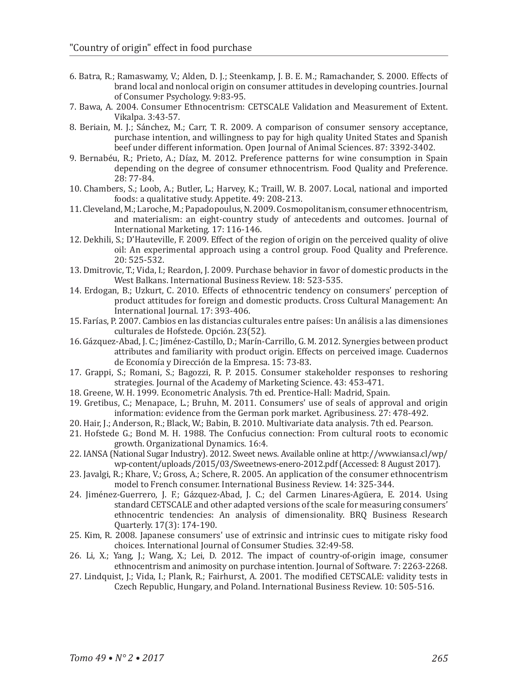- 6. Batra, R.; Ramaswamy, V.; Alden, D. J.; Steenkamp, J. B. E. M.; Ramachander, S. 2000. Effects of brand local and nonlocal origin on consumer attitudes in developing countries. Journal of Consumer Psychology. 9:83-95.
- 7. Bawa, A. 2004. Consumer Ethnocentrism: CETSCALE Validation and Measurement of Extent. Vikalpa. 3:43-57.
- 8. Beriain, M. J.; Sánchez, M.; Carr, T. R. 2009. A comparison of consumer sensory acceptance, purchase intention, and willingness to pay for high quality United States and Spanish beef under different information. Open Journal of Animal Sciences. 87: 3392-3402.
- 9. Bernabéu, R.; Prieto, A.; Díaz, M. 2012. Preference patterns for wine consumption in Spain depending on the degree of consumer ethnocentrism. Food Quality and Preference. 28: 77-84.
- 10. Chambers, S.; Loob, A.; Butler, L.; Harvey, K.; Traill, W. B. 2007. Local, national and imported foods: a qualitative study. Appetite. 49: 208-213.
- 11. Cleveland, M.; Laroche, M.; Papadopoulus, N. 2009. Cosmopolitanism, consumer ethnocentrism, and materialism: an eight-country study of antecedents and outcomes. Journal of International Marketing. 17: 116-146.
- 12. Dekhili, S.; D'Hauteville, F. 2009. Effect of the region of origin on the perceived quality of olive oil: An experimental approach using a control group. Food Quality and Preference. 20: 525-532.
- 13. Dmitrovic, T.; Vida, I.; Reardon, J. 2009. Purchase behavior in favor of domestic products in the West Balkans. International Business Review. 18: 523-535.
- 14. Erdogan, B.; Uzkurt, C. 2010. Effects of ethnocentric tendency on consumers' perception of product attitudes for foreign and domestic products. Cross Cultural Management: An International Journal. 17: 393-406.
- 15. Farías, P. 2007. Cambios en las distancias culturales entre países: Un análisis a las dimensiones culturales de Hofstede. Opción. 23(52).
- 16. Gázquez-Abad, J. C.; Jiménez-Castillo, D.; Marín-Carrillo, G. M. 2012. Synergies between product attributes and familiarity with product origin. Effects on perceived image. Cuadernos de Economía y Dirección de la Empresa. 15: 73-83.
- 17. Grappi, S.; Romani, S.; Bagozzi, R. P. 2015. Consumer stakeholder responses to reshoring strategies. Journal of the Academy of Marketing Science. 43: 453-471.
- 18. Greene, W. H. 1999. Econometric Analysis. 7th ed. Prentice-Hall: Madrid, Spain.
- 19. Gretibus, C.; Menapace, L.; Bruhn, M. 2011. Consumers' use of seals of approval and origin information: evidence from the German pork market. Agribusiness. 27: 478-492.
- 20. Hair, J.; Anderson, R.; Black, W.; Babin, B. 2010. Multivariate data analysis. 7th ed. Pearson.
- 21. Hofstede G.; Bond M. H. 1988. The Confucius connection: From cultural roots to economic growth. Organizational Dynamics. 16:4.
- 22. IANSA (National Sugar Industry). 2012. Sweet news. Available online at http://www.iansa.cl/wp/ wp-content/uploads/2015/03/Sweetnews-enero-2012.pdf (Accessed: 8 August 2017).
- 23. Javalgi, R.; Khare, V.; Gross, A.; Schere, R. 2005. An application of the consumer ethnocentrism model to French consumer. International Business Review. 14: 325-344.
- 24. Jiménez-Guerrero, J. F.; Gázquez-Abad, J. C.; del Carmen Linares-Agüera, E. 2014. Using standard CETSCALE and other adapted versions of the scale for measuring consumers' ethnocentric tendencies: An analysis of dimensionality. BRQ Business Research Quarterly. 17(3): 174-190.
- 25. Kim, R. 2008. Japanese consumers' use of extrinsic and intrinsic cues to mitigate risky food choices. International Journal of Consumer Studies. 32:49-58.
- 26. Li, X.; Yang, J.; Wang, X.; Lei, D. 2012. The impact of country-of-origin image, consumer ethnocentrism and animosity on purchase intention. Journal of Software. 7: 2263-2268.
- 27. Lindquist, J.; Vida, I.; Plank, R.; Fairhurst, A. 2001. The modified CETSCALE: validity tests in Czech Republic, Hungary, and Poland. International Business Review. 10: 505-516.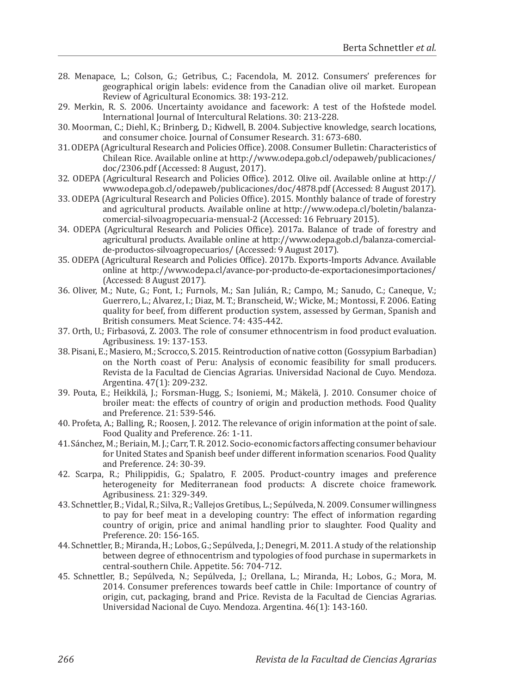- 28. Menapace, L.; Colson, G.; Getribus, C.; Facendola, M. 2012. Consumers' preferences for geographical origin labels: evidence from the Canadian olive oil market. European Review of Agricultural Economics. 38: 193-212.
- 29. Merkin, R. S. 2006. Uncertainty avoidance and facework: A test of the Hofstede model. International Journal of Intercultural Relations. 30: 213-228.
- 30. Moorman, C.; Diehl, K.; Brinberg, D.; Kidwell, B. 2004. Subjective knowledge, search locations, and consumer choice. Journal of Consumer Research. 31: 673-680.
- 31. ODEPA (Agricultural Research and Policies Office). 2008. Consumer Bulletin: Characteristics of Chilean Rice. Available online at http://www.odepa.gob.cl/odepaweb/publicaciones/ doc/2306.pdf (Accessed: 8 August, 2017).
- 32. ODEPA (Agricultural Research and Policies Office). 2012. Olive oil. Available online at http:// www.odepa.gob.cl/odepaweb/publicaciones/doc/4878.pdf (Accessed: 8 August 2017).
- 33. ODEPA (Agricultural Research and Policies Office). 2015. Monthly balance of trade of forestry and agricultural products. Available online at http://www.odepa.cl/boletin/balanzacomercial-silvoagropecuaria-mensual-2 (Accessed: 16 February 2015).
- 34. ODEPA (Agricultural Research and Policies Office). 2017a. Balance of trade of forestry and agricultural products. Available online at http://www.odepa.gob.cl/balanza-comercialde-productos-silvoagropecuarios/ (Accessed: 9 August 2017).
- 35. ODEPA (Agricultural Research and Policies Office). 2017b. Exports-Imports Advance. Available online at http://www.odepa.cl/avance-por-producto-de-exportacionesimportaciones/ (Accessed: 8 August 2017).
- 36. Oliver, M.; Nute, G.; Font, I.; Furnols, M.; San Julián, R.; Campo, M.; Sanudo, C.; Caneque, V.; Guerrero, L.; Alvarez, I.; Diaz, M. T.; Branscheid, W.; Wicke, M.; Montossi, F. 2006. Eating quality for beef, from different production system, assessed by German, Spanish and British consumers. Meat Science. 74: 435-442.
- 37. Orth, U.; Firbasová, Z. 2003. The role of consumer ethnocentrism in food product evaluation. Agribusiness. 19: 137-153.
- 38. Pisani, E.; Masiero, M.; Scrocco, S. 2015. Reintroduction of native cotton (Gossypium Barbadian) on the North coast of Peru: Analysis of economic feasibility for small producers. Revista de la Facultad de Ciencias Agrarias. Universidad Nacional de Cuyo. Mendoza. Argentina. 47(1): 209-232.
- 39. Pouta, E.; Heikkilä, J.; Forsman-Hugg, S.; Isoniemi, M.; Mäkelä, J. 2010. Consumer choice of broiler meat: the effects of country of origin and production methods. Food Quality and Preference. 21: 539-546.
- 40. Profeta, A.; Balling, R.; Roosen, J. 2012. The relevance of origin information at the point of sale. Food Quality and Preference. 26: 1-11.
- 41. Sánchez, M.; Beriain, M. J.; Carr, T. R. 2012. Socio-economic factors affecting consumer behaviour for United States and Spanish beef under different information scenarios. Food Quality and Preference. 24: 30-39.
- 42. Scarpa, R.; Philippidis, G.; Spalatro, F. 2005. Product-country images and preference heterogeneity for Mediterranean food products: A discrete choice framework. Agribusiness. 21: 329-349.
- 43. Schnettler, B.; Vidal, R.; Silva, R.; Vallejos Gretibus, L.; Sepúlveda, N. 2009. Consumer willingness to pay for beef meat in a developing country: The effect of information regarding country of origin, price and animal handling prior to slaughter. Food Quality and Preference. 20: 156-165.
- 44. Schnettler, B.; Miranda, H.; Lobos, G.; Sepúlveda, J.; Denegri, M. 2011. A study of the relationship between degree of ethnocentrism and typologies of food purchase in supermarkets in central-southern Chile. Appetite. 56: 704-712.
- 45. Schnettler, B.; Sepúlveda, N.; Sepúlveda, J.; Orellana, L.; Miranda, H.; Lobos, G.; Mora, M. 2014. Consumer preferences towards beef cattle in Chile: Importance of country of origin, cut, packaging, brand and Price. Revista de la Facultad de Ciencias Agrarias. Universidad Nacional de Cuyo. Mendoza. Argentina. 46(1): 143-160.